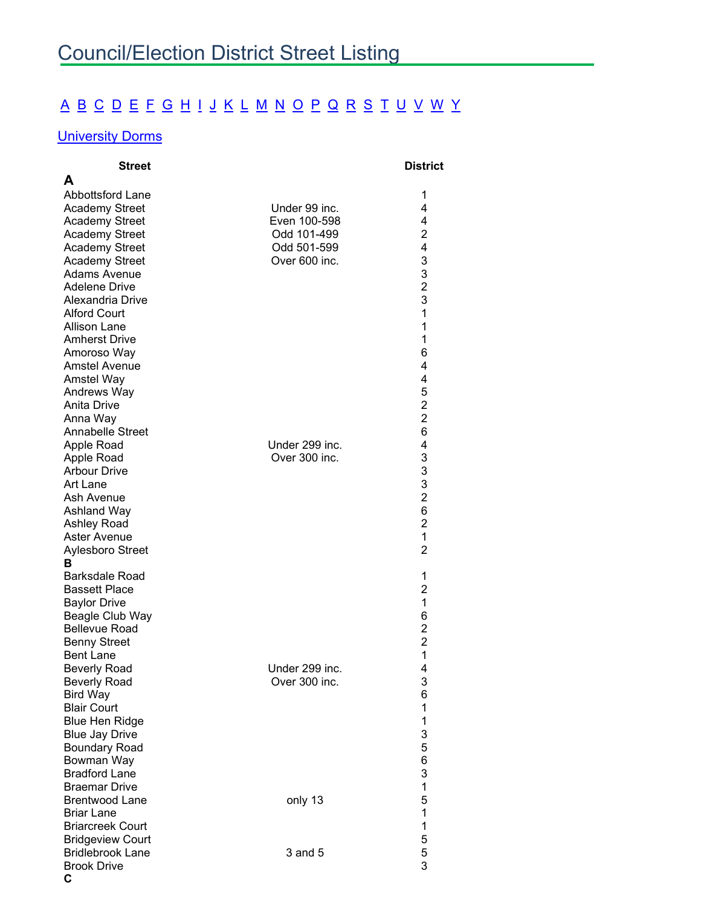## [A](#page-0-0) [B](#page-0-1) [C](#page-0-2) [D](#page-1-0) [E](#page-2-0) [F](#page-2-1) [G](#page-2-2) [H](#page-3-0) [I](#page-3-1) [J](#page-3-2) [K](#page-3-3) [L](#page-3-4) [M](#page-4-0) [N](#page-4-1) [O](#page-4-2) [P](#page-4-3) [Q](#page-5-0) [R](#page-5-1) [S](#page-5-2) [T](#page-6-0) [U](#page-7-0) [V](#page-6-1) [W](#page-7-1) [Y](#page-7-1)

## **[University Dorms](#page-7-0)**

<span id="page-0-2"></span><span id="page-0-1"></span><span id="page-0-0"></span>

| <b>Street</b>           |                | <b>District</b> |
|-------------------------|----------------|-----------------|
| A                       |                |                 |
| Abbottsford Lane        |                | 1               |
| <b>Academy Street</b>   | Under 99 inc.  | 4               |
| <b>Academy Street</b>   | Even 100-598   | 4               |
| <b>Academy Street</b>   | Odd 101-499    | $\overline{c}$  |
| <b>Academy Street</b>   | Odd 501-599    | 4               |
| Academy Street          | Over 600 inc.  | 3               |
| Adams Avenue            |                | 3               |
| Adelene Drive           |                | $\overline{c}$  |
| Alexandria Drive        |                | 3               |
| <b>Alford Court</b>     |                | 1               |
| <b>Allison Lane</b>     |                | 1               |
| <b>Amherst Drive</b>    |                | 1               |
| Amoroso Way             |                | 6               |
| Amstel Avenue           |                | 4               |
| Amstel Way              |                | 4               |
| Andrews Way             |                | 5               |
| Anita Drive             |                | $\overline{c}$  |
| Anna Way                |                | $\overline{2}$  |
| <b>Annabelle Street</b> |                | 6               |
| Apple Road              | Under 299 inc. | 4               |
| Apple Road              | Over 300 inc.  |                 |
| <b>Arbour Drive</b>     |                | $\frac{3}{3}$   |
| Art Lane                |                | 3               |
| Ash Avenue              |                | $\overline{2}$  |
| <b>Ashland Way</b>      |                | 6               |
| Ashley Road             |                | $\overline{2}$  |
| Aster Avenue            |                | 1               |
| Aylesboro Street        |                | $\overline{2}$  |
| в                       |                |                 |
| <b>Barksdale Road</b>   |                | 1               |
| <b>Bassett Place</b>    |                | 2               |
| <b>Baylor Drive</b>     |                | 1               |
| Beagle Club Way         |                | 6               |
| <b>Bellevue Road</b>    |                | $\overline{c}$  |
| <b>Benny Street</b>     |                | $\overline{2}$  |
| <b>Bent Lane</b>        |                | 1               |
| <b>Beverly Road</b>     | Under 299 inc. | 4               |
| <b>Beverly Road</b>     | Over 300 inc.  | 3               |
| <b>Bird Way</b>         |                | 6               |
| <b>Blair Court</b>      |                | 1               |
| <b>Blue Hen Ridge</b>   |                | 1               |
| <b>Blue Jay Drive</b>   |                | 3               |
| <b>Boundary Road</b>    |                | 5               |
| Bowman Way              |                | 6               |
| <b>Bradford Lane</b>    |                | 3               |
| <b>Braemar Drive</b>    |                | $\mathbf 1$     |
| <b>Brentwood Lane</b>   | only 13        | 5               |
| <b>Briar Lane</b>       |                | $\mathbf 1$     |
| <b>Briarcreek Court</b> |                | $\mathbf 1$     |
| <b>Bridgeview Court</b> |                | 5               |
| <b>Bridlebrook Lane</b> | $3$ and $5$    | 5               |
| <b>Brook Drive</b>      |                | 3               |
| C                       |                |                 |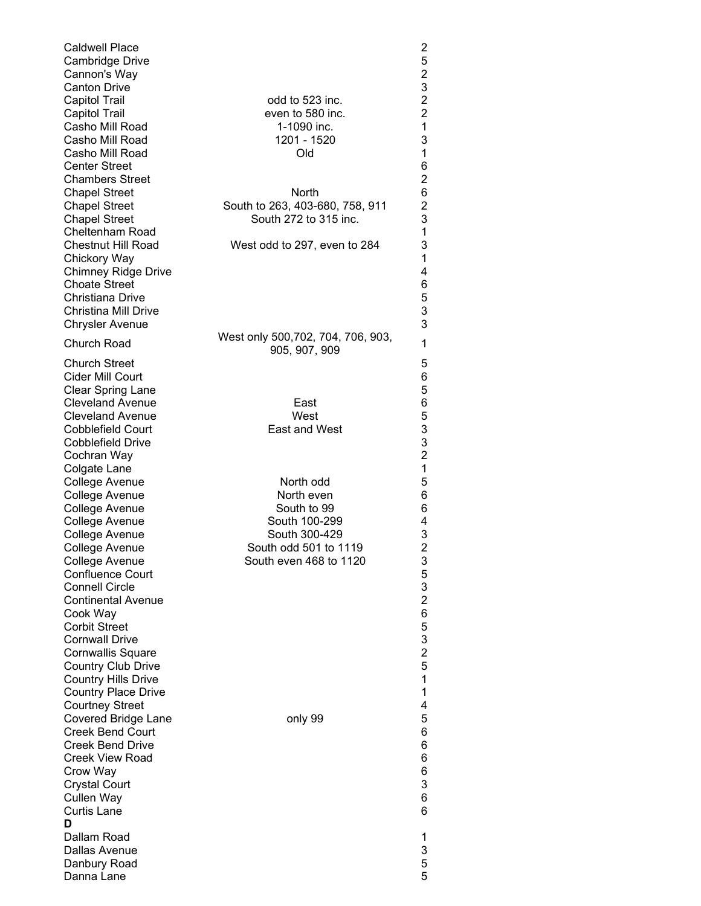<span id="page-1-0"></span>

| <b>Caldwell Place</b><br>Cambridge Drive<br>Cannon's Way<br><b>Canton Drive</b><br><b>Capitol Trail</b><br><b>Capitol Trail</b>                                                         | odd to 523 inc.<br>even to 580 inc.                                                               | $\overline{c}$<br>5<br>$\begin{array}{c} 2 \\ 3 \\ 2 \end{array}$<br>$\overline{2}$<br>$\overline{1}$ |
|-----------------------------------------------------------------------------------------------------------------------------------------------------------------------------------------|---------------------------------------------------------------------------------------------------|-------------------------------------------------------------------------------------------------------|
| Casho Mill Road<br>Casho Mill Road<br>Casho Mill Road<br><b>Center Street</b><br><b>Chambers Street</b><br><b>Chapel Street</b>                                                         | 1-1090 inc.<br>1201 - 1520<br>Old<br><b>North</b>                                                 | 3<br>$\mathbf{1}$<br>6<br>$\overline{2}$<br>6                                                         |
| <b>Chapel Street</b><br><b>Chapel Street</b><br>Cheltenham Road                                                                                                                         | South to 263, 403-680, 758, 911<br>South 272 to 315 inc.                                          | $\overline{c}$<br>3<br>1                                                                              |
| <b>Chestnut Hill Road</b><br>Chickory Way<br><b>Chimney Ridge Drive</b><br><b>Choate Street</b><br>Christiana Drive<br><b>Christina Mill Drive</b><br><b>Chrysler Avenue</b>            | West odd to 297, even to 284                                                                      | 3<br>1<br>4<br>6<br>$\frac{5}{3}$<br>3                                                                |
| <b>Church Road</b><br><b>Church Street</b><br><b>Cider Mill Court</b>                                                                                                                   | West only 500,702, 704, 706, 903,<br>905, 907, 909                                                | 1<br>5<br>6                                                                                           |
| <b>Clear Spring Lane</b><br><b>Cleveland Avenue</b><br><b>Cleveland Avenue</b><br><b>Cobblefield Court</b><br>Cobblefield Drive<br>Cochran Way                                          | East<br>West<br>East and West                                                                     | 5<br>6<br>53321                                                                                       |
| Colgate Lane<br>College Avenue<br>College Avenue<br>College Avenue<br>College Avenue<br>College Avenue                                                                                  | North odd<br>North even<br>South to 99<br>South 100-299<br>South 300-429<br>South odd 501 to 1119 | 5<br>6<br>6<br>4<br>3<br>$\overline{2}$                                                               |
| College Avenue<br>College Avenue<br><b>Confluence Court</b><br><b>Connell Circle</b><br><b>Continental Avenue</b><br>Cook Way<br><b>Corbit Street</b>                                   | South even 468 to 1120                                                                            | 3<br>5<br>3<br>$\frac{2}{6}$<br>5                                                                     |
| <b>Cornwall Drive</b><br><b>Cornwallis Square</b><br><b>Country Club Drive</b><br><b>Country Hills Drive</b><br><b>Country Place Drive</b><br><b>Courtney Street</b>                    |                                                                                                   | $\frac{3}{2}$<br>5<br>1<br>1<br>4                                                                     |
| <b>Covered Bridge Lane</b><br><b>Creek Bend Court</b><br><b>Creek Bend Drive</b><br>Creek View Road<br>Crow Way<br><b>Crystal Court</b><br><b>Cullen Way</b><br><b>Curtis Lane</b><br>D | only 99                                                                                           | 5<br>6<br>6<br>6<br>6<br>3<br>6<br>6                                                                  |
| Dallam Road<br>Dallas Avenue<br>Danbury Road<br>Danna Lane                                                                                                                              |                                                                                                   | 1<br>3<br>5<br>5                                                                                      |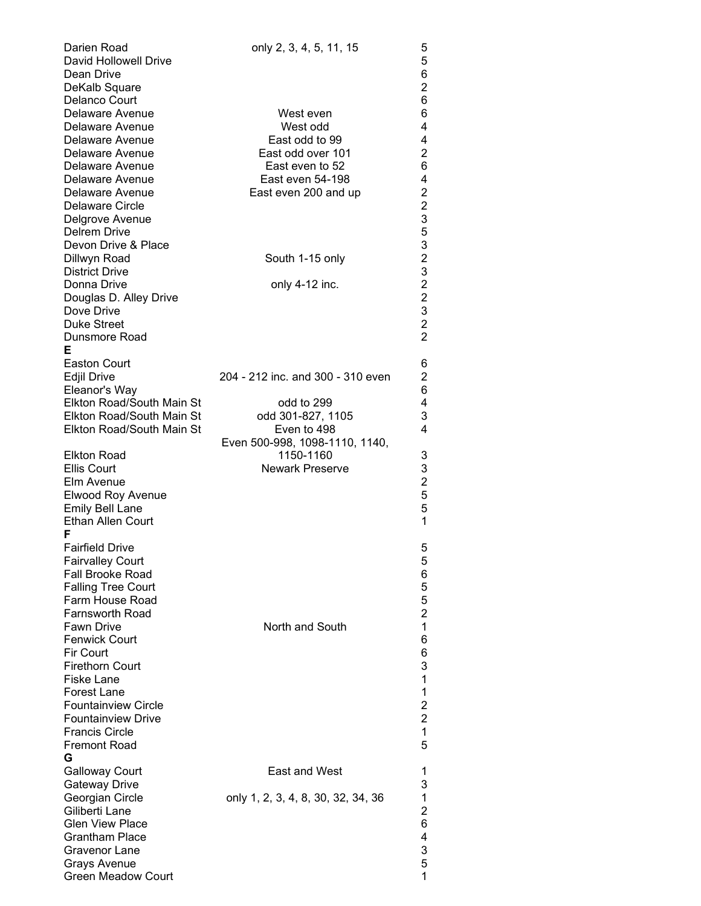<span id="page-2-2"></span><span id="page-2-1"></span><span id="page-2-0"></span>

| Darien Road                | only 2, 3, 4, 5, 11, 15            | 5                                          |
|----------------------------|------------------------------------|--------------------------------------------|
| David Hollowell Drive      |                                    | 5                                          |
| Dean Drive                 |                                    | 6                                          |
| DeKalb Square              |                                    | $\overline{\mathbf{c}}$                    |
| Delanco Court              |                                    | 6                                          |
| Delaware Avenue            | West even                          | 6                                          |
| Delaware Avenue            | West odd                           | 4                                          |
| Delaware Avenue            | East odd to 99                     | 4                                          |
| Delaware Avenue            | East odd over 101                  | $\overline{\mathbf{c}}$                    |
| Delaware Avenue            | East even to 52                    | 6                                          |
| Delaware Avenue            | East even 54-198                   | 4                                          |
| Delaware Avenue            | East even 200 and up               |                                            |
| <b>Delaware Circle</b>     |                                    | $\frac{2}{2}$                              |
| Delgrove Avenue            |                                    | 3                                          |
| <b>Delrem Drive</b>        |                                    |                                            |
| Devon Drive & Place        |                                    |                                            |
| Dillwyn Road               | South 1-15 only                    | 5323                                       |
| <b>District Drive</b>      |                                    |                                            |
| Donna Drive                | only 4-12 inc.                     |                                            |
| Douglas D. Alley Drive     |                                    | $\begin{array}{c} 2 \\ 2 \\ 3 \end{array}$ |
| Dove Drive                 |                                    |                                            |
| <b>Duke Street</b>         |                                    | $\overline{2}$                             |
|                            |                                    | $\overline{2}$                             |
| Dunsmore Road              |                                    |                                            |
| Е                          |                                    |                                            |
| <b>Easton Court</b>        |                                    | 6                                          |
| <b>Edjil Drive</b>         | 204 - 212 inc. and 300 - 310 even  | 2                                          |
| Eleanor's Way              |                                    | 6                                          |
| Elkton Road/South Main St  | odd to 299                         | 4                                          |
| Elkton Road/South Main St  | odd 301-827, 1105                  | 3                                          |
| Elkton Road/South Main St  | Even to 498                        | 4                                          |
|                            | Even 500-998, 1098-1110, 1140,     |                                            |
| <b>Elkton Road</b>         | 1150-1160                          | 3                                          |
| <b>Ellis Court</b>         | <b>Newark Preserve</b>             | 3                                          |
| Elm Avenue                 |                                    | $\overline{c}$                             |
| Elwood Roy Avenue          |                                    | 5                                          |
| <b>Emily Bell Lane</b>     |                                    | 5                                          |
| <b>Ethan Allen Court</b>   |                                    | 1                                          |
| F                          |                                    |                                            |
| <b>Fairfield Drive</b>     |                                    | 5                                          |
| <b>Fairvalley Court</b>    |                                    | 5                                          |
| <b>Fall Brooke Road</b>    |                                    | 6                                          |
| <b>Falling Tree Court</b>  |                                    | 5                                          |
| Farm House Road            |                                    | 5                                          |
| <b>Farnsworth Road</b>     |                                    | $\overline{c}$                             |
| <b>Fawn Drive</b>          | North and South                    | $\mathbf{1}$                               |
| <b>Fenwick Court</b>       |                                    | 6                                          |
| Fir Court                  |                                    | 6                                          |
| <b>Firethorn Court</b>     |                                    | 3                                          |
| Fiske Lane                 |                                    | 1                                          |
| <b>Forest Lane</b>         |                                    | 1                                          |
| <b>Fountainview Circle</b> |                                    | $\overline{\mathbf{c}}$                    |
| <b>Fountainview Drive</b>  |                                    | $\overline{c}$                             |
| <b>Francis Circle</b>      |                                    | 1                                          |
| <b>Fremont Road</b>        |                                    | 5                                          |
| G                          |                                    |                                            |
| <b>Galloway Court</b>      | East and West                      | 1                                          |
| <b>Gateway Drive</b>       |                                    | 3                                          |
| Georgian Circle            | only 1, 2, 3, 4, 8, 30, 32, 34, 36 | 1                                          |
| Giliberti Lane             |                                    | $\overline{c}$                             |
| <b>Glen View Place</b>     |                                    | 6                                          |
| <b>Grantham Place</b>      |                                    | 4                                          |
| <b>Gravenor Lane</b>       |                                    | 3                                          |
| <b>Grays Avenue</b>        |                                    | 5                                          |
| <b>Green Meadow Court</b>  |                                    | 1                                          |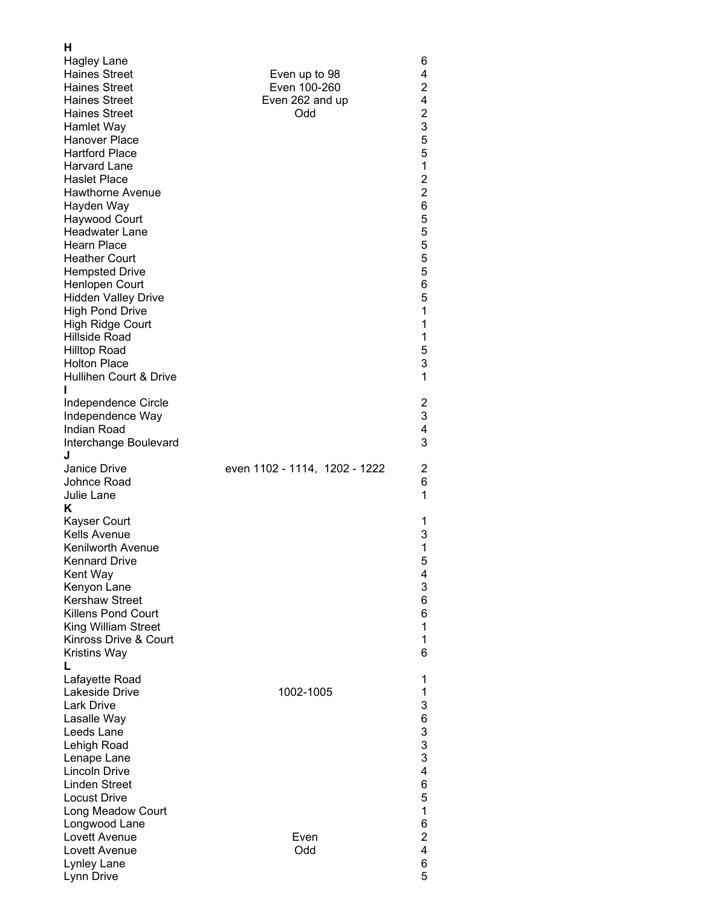<span id="page-3-4"></span><span id="page-3-3"></span><span id="page-3-2"></span><span id="page-3-1"></span><span id="page-3-0"></span>

| н<br><b>Hagley Lane</b><br><b>Haines Street</b><br><b>Haines Street</b><br><b>Haines Street</b><br><b>Haines Street</b><br>Hamlet Way<br>Hanover Place<br><b>Hartford Place</b><br><b>Harvard Lane</b><br><b>Haslet Place</b><br><b>Hawthorne Avenue</b><br>Hayden Way<br>Haywood Court<br>Headwater Lane<br><b>Hearn Place</b><br><b>Heather Court</b><br><b>Hempsted Drive</b><br>Henlopen Court<br><b>Hidden Valley Drive</b><br><b>High Pond Drive</b><br>High Ridge Court<br><b>Hillside Road</b><br><b>Hilltop Road</b><br><b>Holton Place</b><br>Hullihen Court & Drive<br>Independence Circle<br>Independence Way | Even up to 98<br>Even 100-260<br>Even 262 and up<br>Odd | 6<br>4<br>$\overline{c}$<br>4<br>$\overline{c}$<br>3<br>5<br>5<br>$\mathbf{1}$<br>$\frac{2}{2}$<br>6<br>5<br>5<br>5<br>5<br>5<br>6<br>5<br>$\mathbf{1}$<br>1<br>1<br>5<br>3<br>1<br>$\overline{c}$<br>3 |
|---------------------------------------------------------------------------------------------------------------------------------------------------------------------------------------------------------------------------------------------------------------------------------------------------------------------------------------------------------------------------------------------------------------------------------------------------------------------------------------------------------------------------------------------------------------------------------------------------------------------------|---------------------------------------------------------|---------------------------------------------------------------------------------------------------------------------------------------------------------------------------------------------------------|
| Indian Road<br>Interchange Boulevard<br>J                                                                                                                                                                                                                                                                                                                                                                                                                                                                                                                                                                                 |                                                         | 4<br>3                                                                                                                                                                                                  |
| Janice Drive<br>Johnce Road<br>Julie Lane<br>κ                                                                                                                                                                                                                                                                                                                                                                                                                                                                                                                                                                            | even 1102 - 1114, 1202 - 1222                           | 2<br>6<br>1                                                                                                                                                                                             |
| <b>Kayser Court</b><br><b>Kells Avenue</b><br>Kenilworth Avenue<br><b>Kennard Drive</b><br>Kent Way<br>Kenyon Lane<br><b>Kershaw Street</b><br><b>Killens Pond Court</b><br>King William Street<br>Kinross Drive & Court<br><b>Kristins Way</b><br>L                                                                                                                                                                                                                                                                                                                                                                      |                                                         | 1<br>3<br>1<br>5<br>4<br>3<br>6<br>6<br>1<br>1<br>6                                                                                                                                                     |
| Lafayette Road<br>Lakeside Drive<br><b>Lark Drive</b><br>Lasalle Way<br>Leeds Lane<br>Lehigh Road<br>Lenape Lane<br><b>Lincoln Drive</b><br><b>Linden Street</b><br><b>Locust Drive</b><br>Long Meadow Court                                                                                                                                                                                                                                                                                                                                                                                                              | 1002-1005                                               | 1<br>1<br>$\mathbf{3}$<br>6333<br>4<br>6<br>5<br>1                                                                                                                                                      |
| Longwood Lane<br>Lovett Avenue<br>Lovett Avenue<br>Lynley Lane<br>Lynn Drive                                                                                                                                                                                                                                                                                                                                                                                                                                                                                                                                              | Even<br>Odd                                             | 6<br>$\overline{\mathbf{c}}$<br>4<br>6<br>5                                                                                                                                                             |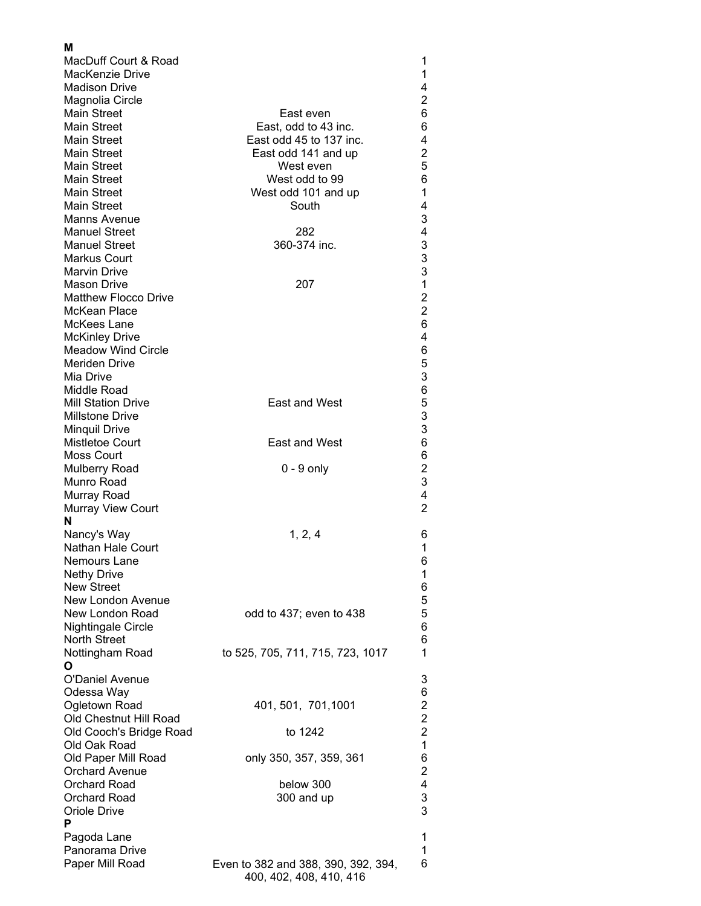<span id="page-4-3"></span><span id="page-4-2"></span><span id="page-4-1"></span><span id="page-4-0"></span>

| м<br>MacDuff Court & Road                |                                     | 1                         |
|------------------------------------------|-------------------------------------|---------------------------|
| MacKenzie Drive                          |                                     | 1                         |
| <b>Madison Drive</b>                     |                                     | 4                         |
| Magnolia Circle                          |                                     | $\overline{\mathbf{c}}$   |
| <b>Main Street</b>                       | East even                           | 6                         |
| <b>Main Street</b>                       | East, odd to 43 inc.                | 6                         |
| <b>Main Street</b>                       | East odd 45 to 137 inc.             | 4                         |
| <b>Main Street</b>                       | East odd 141 and up                 | $\overline{\mathbf{c}}$   |
| <b>Main Street</b>                       | West even                           | 5                         |
| <b>Main Street</b>                       | West odd to 99                      | 6<br>1                    |
| <b>Main Street</b><br><b>Main Street</b> | West odd 101 and up<br>South        | 4                         |
| <b>Manns Avenue</b>                      |                                     | $\ensuremath{\mathsf{3}}$ |
| <b>Manuel Street</b>                     | 282                                 | 4                         |
| <b>Manuel Street</b>                     | 360-374 inc.                        | 3                         |
| <b>Markus Court</b>                      |                                     |                           |
| <b>Marvin Drive</b>                      |                                     | $\frac{3}{3}$             |
| <b>Mason Drive</b>                       | 207                                 | $\overline{1}$            |
| <b>Matthew Flocco Drive</b>              |                                     | $\overline{\mathbf{c}}$   |
| <b>McKean Place</b>                      |                                     | $\overline{c}$            |
| McKees Lane                              |                                     | 6                         |
| <b>McKinley Drive</b>                    |                                     | 4                         |
| <b>Meadow Wind Circle</b>                |                                     | 6                         |
| <b>Meriden Drive</b>                     |                                     | $\frac{5}{3}$             |
| Mia Drive                                |                                     |                           |
| Middle Road<br><b>Mill Station Drive</b> | East and West                       | 6533                      |
| <b>Millstone Drive</b>                   |                                     |                           |
| <b>Minquil Drive</b>                     |                                     |                           |
| Mistletoe Court                          | East and West                       | 6                         |
| Moss Court                               |                                     | 6                         |
| <b>Mulberry Road</b>                     | $0 - 9$ only                        | $\boldsymbol{2}$          |
| Munro Road                               |                                     | 3                         |
| Murray Road                              |                                     | 4                         |
| <b>Murray View Court</b>                 |                                     | $\overline{2}$            |
| N                                        |                                     |                           |
| Nancy's Way                              | 1, 2, 4                             | 6                         |
| Nathan Hale Court                        |                                     | 1                         |
| Nemours Lane                             |                                     | 6                         |
| <b>Nethy Drive</b>                       |                                     | $\mathbf{1}$              |
| <b>New Street</b><br>New London Avenue   |                                     | 6<br>5                    |
| New London Road                          | odd to 437; even to 438             | 5                         |
| Nightingale Circle                       |                                     | 6                         |
| <b>North Street</b>                      |                                     | 6                         |
| Nottingham Road                          | to 525, 705, 711, 715, 723, 1017    | 1                         |
| O                                        |                                     |                           |
| <b>O'Daniel Avenue</b>                   |                                     | 3                         |
| Odessa Way                               |                                     | 6                         |
| Ogletown Road                            | 401, 501, 701, 1001                 | $\overline{\mathbf{c}}$   |
| Old Chestnut Hill Road                   |                                     | $\overline{2}$            |
| Old Cooch's Bridge Road                  | to 1242                             | $\overline{\mathbf{c}}$   |
| Old Oak Road                             |                                     | $\mathbf 1$               |
| Old Paper Mill Road                      | only 350, 357, 359, 361             | 6                         |
| <b>Orchard Avenue</b>                    |                                     | $\overline{c}$            |
| <b>Orchard Road</b><br>Orchard Road      | below 300<br>300 and up             | 4<br>3                    |
| Oriole Drive                             |                                     | 3                         |
| P                                        |                                     |                           |
| Pagoda Lane                              |                                     | 1                         |
| Panorama Drive                           |                                     | 1                         |
| Paper Mill Road                          | Even to 382 and 388, 390, 392, 394, | 6                         |
|                                          | 400, 402, 408, 410, 416             |                           |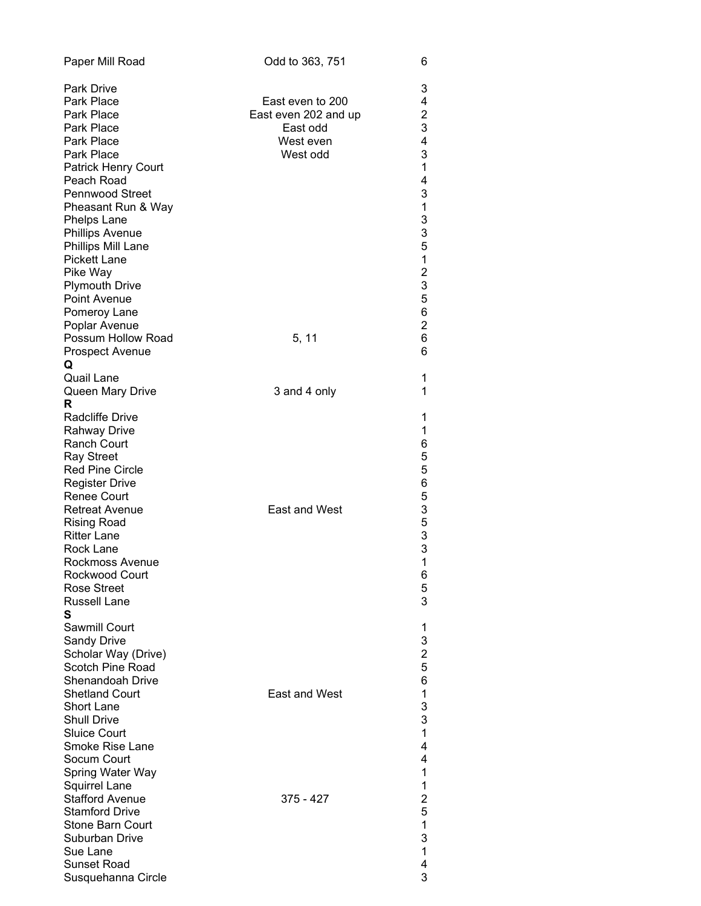<span id="page-5-2"></span><span id="page-5-1"></span><span id="page-5-0"></span>

| Paper Mill Road                      | Odd to 363, 751      | 6                            |
|--------------------------------------|----------------------|------------------------------|
| <b>Park Drive</b>                    |                      | 3                            |
| Park Place                           | East even to 200     | 4                            |
| Park Place                           | East even 202 and up | $\overline{\mathbf{c}}$      |
| Park Place                           | East odd             | 3                            |
| Park Place                           | West even            | 4                            |
| Park Place                           | West odd             | 3                            |
| <b>Patrick Henry Court</b>           |                      | 1                            |
| Peach Road                           |                      | 4                            |
| <b>Pennwood Street</b>               |                      | 3                            |
| Pheasant Run & Way                   |                      | $\mathbf 1$                  |
| Phelps Lane                          |                      | 3                            |
| <b>Phillips Avenue</b>               |                      | 3                            |
| Phillips Mill Lane                   |                      | 5                            |
| <b>Pickett Lane</b>                  |                      | $\mathbf{1}$                 |
| Pike Way                             |                      | $\frac{2}{3}$                |
| <b>Plymouth Drive</b>                |                      |                              |
| <b>Point Avenue</b>                  |                      | 5                            |
| Pomeroy Lane                         |                      | 6                            |
| Poplar Avenue                        |                      | $\overline{c}$<br>6          |
| Possum Hollow Road                   | 5, 11                | 6                            |
| <b>Prospect Avenue</b>               |                      |                              |
| Q<br>Quail Lane                      |                      | 1                            |
| Queen Mary Drive                     | 3 and 4 only         | 1                            |
| R                                    |                      |                              |
| <b>Radcliffe Drive</b>               |                      | 1                            |
| <b>Rahway Drive</b>                  |                      | $\mathbf 1$                  |
| <b>Ranch Court</b>                   |                      | 6                            |
| <b>Ray Street</b>                    |                      | 5                            |
| Red Pine Circle                      |                      | 5                            |
| <b>Register Drive</b>                |                      | 6                            |
| <b>Renee Court</b>                   |                      | 5                            |
| <b>Retreat Avenue</b>                | <b>East and West</b> | 3                            |
| <b>Rising Road</b>                   |                      | 5                            |
| <b>Ritter Lane</b>                   |                      | 3                            |
| Rock Lane                            |                      | 3                            |
| Rockmoss Avenue                      |                      | $\mathbf{1}$                 |
| Rockwood Court                       |                      | 6                            |
| <b>Rose Street</b>                   |                      | 5                            |
| <b>Russell Lane</b>                  |                      | 3                            |
| S                                    |                      |                              |
| Sawmill Court                        |                      | 1                            |
| <b>Sandy Drive</b>                   |                      | 3                            |
| Scholar Way (Drive)                  |                      | $\overline{\mathbf{c}}$<br>5 |
| Scotch Pine Road<br>Shenandoah Drive |                      |                              |
| <b>Shetland Court</b>                | East and West        | 6<br>1                       |
| <b>Short Lane</b>                    |                      | 3                            |
| <b>Shull Drive</b>                   |                      | 3                            |
| <b>Sluice Court</b>                  |                      | 1                            |
| Smoke Rise Lane                      |                      | 4                            |
| Socum Court                          |                      | 4                            |
| Spring Water Way                     |                      | 1                            |
| <b>Squirrel Lane</b>                 |                      | 1                            |
| <b>Stafford Avenue</b>               | 375 - 427            | $\overline{\mathbf{c}}$      |
| <b>Stamford Drive</b>                |                      | 5                            |
| <b>Stone Barn Court</b>              |                      | 1                            |
| Suburban Drive                       |                      | 3                            |
| Sue Lane                             |                      | 1                            |
| <b>Sunset Road</b>                   |                      | 4                            |
| Susquehanna Circle                   |                      | 3                            |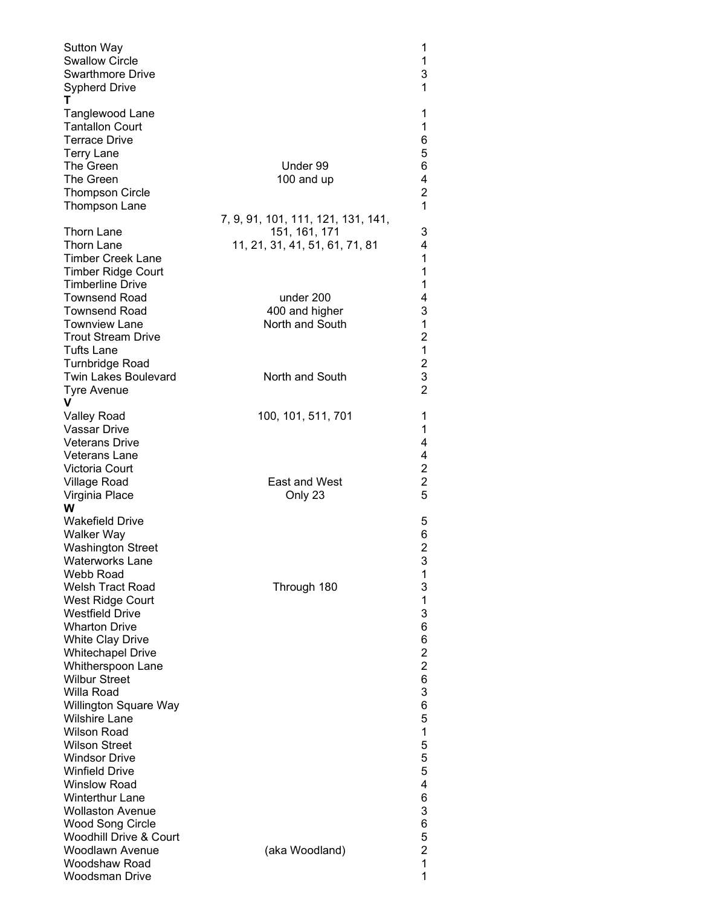<span id="page-6-1"></span><span id="page-6-0"></span>

| Sutton Way<br><b>Swallow Circle</b><br><b>Swarthmore Drive</b><br><b>Sypherd Drive</b><br>т |                                    | 1<br>1<br>3<br>$\mathbf{1}$      |
|---------------------------------------------------------------------------------------------|------------------------------------|----------------------------------|
| Tanglewood Lane<br><b>Tantallon Court</b><br><b>Terrace Drive</b><br><b>Terry Lane</b>      |                                    | 1<br>1<br>6<br>5                 |
| The Green<br>The Green                                                                      | Under 99<br>100 and up             | 6<br>4                           |
| <b>Thompson Circle</b><br>Thompson Lane                                                     | 7, 9, 91, 101, 111, 121, 131, 141, | $\overline{c}$<br>$\overline{1}$ |
| Thorn Lane                                                                                  | 151, 161, 171                      | 3                                |
| <b>Thorn Lane</b><br><b>Timber Creek Lane</b><br>Timber Ridge Court                         | 11, 21, 31, 41, 51, 61, 71, 81     | 4<br>1<br>1                      |
| <b>Timberline Drive</b><br><b>Townsend Road</b>                                             | under 200                          | 1<br>4                           |
| <b>Townsend Road</b>                                                                        | 400 and higher                     | 3                                |
| <b>Townview Lane</b>                                                                        | North and South                    | $\mathbf 1$                      |
| <b>Trout Stream Drive</b><br>Tufts Lane                                                     |                                    | $\overline{c}$<br>$\mathbf{1}$   |
| <b>Turnbridge Road</b>                                                                      |                                    |                                  |
| <b>Twin Lakes Boulevard</b>                                                                 | North and South                    | $\frac{2}{3}$                    |
| Tyre Avenue<br>v                                                                            |                                    | $\overline{2}$                   |
| <b>Valley Road</b>                                                                          | 100, 101, 511, 701                 | 1                                |
| <b>Vassar Drive</b>                                                                         |                                    | 1                                |
| <b>Veterans Drive</b>                                                                       |                                    | 4                                |
| <b>Veterans Lane</b><br>Victoria Court                                                      |                                    | 4<br>$\overline{\mathbf{c}}$     |
| Village Road                                                                                | East and West                      | $\overline{c}$                   |
| Virginia Place                                                                              | Only 23                            | 5                                |
| w<br><b>Wakefield Drive</b>                                                                 |                                    | 5                                |
| <b>Walker Way</b>                                                                           |                                    | 6                                |
| <b>Washington Street</b>                                                                    |                                    | $\overline{2}$                   |
| <b>Waterworks Lane</b>                                                                      |                                    | 3                                |
| Webb Road<br><b>Welsh Tract Road</b>                                                        | Through 180                        | 1<br>3                           |
| West Ridge Court                                                                            |                                    | 1                                |
| <b>Westfield Drive</b>                                                                      |                                    | 3                                |
| <b>Wharton Drive</b><br><b>White Clay Drive</b>                                             |                                    | 6<br>6                           |
| <b>Whitechapel Drive</b>                                                                    |                                    | $\overline{\mathbf{c}}$          |
| Whitherspoon Lane                                                                           |                                    | $\overline{2}$                   |
| <b>Wilbur Street</b><br>Willa Road                                                          |                                    | 6<br>3                           |
| <b>Willington Square Way</b>                                                                |                                    | 6                                |
| <b>Wilshire Lane</b>                                                                        |                                    | 5                                |
| <b>Wilson Road</b>                                                                          |                                    | $\mathbf{1}$                     |
| <b>Wilson Street</b><br><b>Windsor Drive</b>                                                |                                    | 5<br>5                           |
| <b>Winfield Drive</b>                                                                       |                                    | 5                                |
| <b>Winslow Road</b>                                                                         |                                    | 4                                |
| <b>Winterthur Lane</b><br><b>Wollaston Avenue</b>                                           |                                    | 6<br>3                           |
| <b>Wood Song Circle</b>                                                                     |                                    | 6                                |
| Woodhill Drive & Court                                                                      |                                    | 5                                |
| Woodlawn Avenue<br>Woodshaw Road                                                            | (aka Woodland)                     | $\overline{c}$<br>$\overline{1}$ |
| <b>Woodsman Drive</b>                                                                       |                                    | 1                                |
|                                                                                             |                                    |                                  |